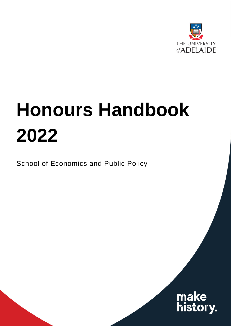

# **Honours Handbook 2022**

School of Economics and Public Policy

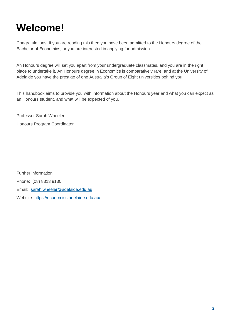### <span id="page-1-0"></span>**Welcome!**

Congratulations. If you are reading this then you have been admitted to the Honours degree of the Bachelor of Economics, or you are interested in applying for admission.

An Honours degree will set you apart from your undergraduate classmates, and you are in the right place to undertake it. An Honours degree in Economics is comparatively rare, and at the University of Adelaide you have the prestige of one Australia's Group of Eight universities behind you.

This handbook aims to provide you with information about the Honours year and what you can expect as an Honours student, and what will be expected of you.

Professor Sarah Wheeler Honours Program Coordinator

Further information Phone: (08) 8313 9130 Email: [sarah.wheeler@adelaide.edu.au](mailto:sarah.wheeler@adelaide.edu.au) Website:<https://economics.adelaide.edu.au/>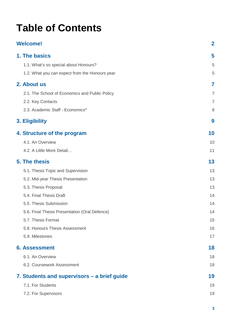### **Table of Contents**

| <b>Welcome!</b>                                | $\overline{2}$ |
|------------------------------------------------|----------------|
| 1. The basics                                  | 5              |
| 1.1. What's so special about Honours?          | 5              |
| 1.2. What you can expect from the Honours year | 5              |
| 2. About us                                    | 7              |
| 2.1. The School of Economics and Public Policy | $\overline{7}$ |
| 2.2. Key Contacts                              | 7              |
| 2.3. Academic Staff - Economics*               | 8              |
| 3. Eligibility                                 | 9              |
| 4. Structure of the program                    | 10             |
| 4.1. An Overview                               | 10             |
| 4.2. A Little More Detail                      | 11             |
| <b>5. The thesis</b>                           | 13             |
| 5.1. Thesis Topic and Supervision              | 13             |
| 5.2. Mid-year Thesis Presentation              | 13             |
| 5.3. Thesis Proposal                           | 13             |
| 5.4. Final Thesis Draft                        | 14             |
| 5.5. Thesis Submission                         | 14             |
| 5.6. Final Thesis Presentation (Oral Defence)  | 14             |
| 5.7. Thesis Format                             | 15             |
| 5.8. Honours Thesis Assessment                 | 16             |
| 5.9. Milestones                                | 17             |
| <b>6. Assessment</b>                           | 18             |
| 6.1. An Overview                               | 18             |
| 6.2. Coursework Assessment                     | 18             |
| 7. Students and supervisors – a brief guide    | 19             |
| 7.1. For Students                              | 19             |
| 7.2. For Supervisors                           | 19             |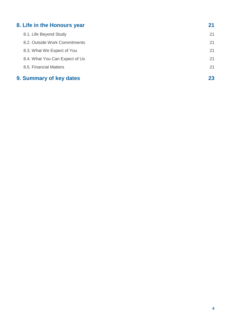| 8. Life in the Honours year    | 21 |
|--------------------------------|----|
| 8.1. Life Beyond Study         | 21 |
| 8.2. Outside Work Commitments  | 21 |
| 8.3. What We Expect of You     | 21 |
| 8.4. What You Can Expect of Us | 21 |
| 8.5. Financial Matters         | 21 |
| 9. Summary of key dates        | 23 |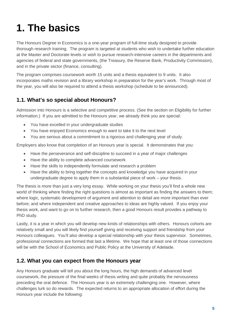# <span id="page-4-0"></span>**1. The basics**

The Honours Degree in Economics is a one-year program of full-time study designed to provide thorough research training. The program is targeted at students who wish to undertake further education at the Master and Doctorate levels or wish to pursue research-intensive careers in the departments and agencies of federal and state governments, (the Treasury, the Reserve Bank, Productivity Commission), and in the private sector (finance, consulting).

The program comprises coursework worth 15 units and a thesis equivalent to 9 units. It also incorporates maths revision and a library workshop in preparation for the year's work. Through most of the year, you will also be required to attend a thesis workshop (schedule to be announced).

#### <span id="page-4-1"></span>**1.1. What's so special about Honours?**

Admission into Honours is a selective and competitive process. (See the section on Eligibility for further information.) If you are admitted to the Honours year, we already think you are special:

- You have excelled in your undergraduate studies
- You have enjoyed Economics enough to want to take it to the next level
- You are serious about a commitment to a rigorous and challenging year of study.

Employers also know that completion of an Honours year is special. It demonstrates that you:

- Have the perseverance and self-discipline to succeed in a year of major challenges
- Have the ability to complete advanced coursework
- Have the skills to independently formulate and research a problem
- Have the ability to bring together the concepts and knowledge you have acquired in your undergraduate degree to apply them in a substantial piece of work – your thesis.

The thesis is more than just a very long essay. While working on your thesis you'll find a whole new world of thinking where finding the right questions is almost as important as finding the answers to them; where logic, systematic development of argument and attention to detail are more important than ever before; and where independent and creative approaches to ideas are highly valued. If you enjoy your thesis work, and want to go on to further research, then a good Honours result provides a pathway to PhD study.

Lastly, it is a year in which you will develop new kinds of relationships with others. Honours cohorts are relatively small and you will likely find yourself giving and receiving support and friendship from your Honours colleagues. You'll also develop a special relationship with your thesis supervisor. Sometimes, professional connections are formed that last a lifetime. We hope that at least one of those connections will be with the School of Economics and Public Policy at the University of Adelaide.

#### <span id="page-4-2"></span>**1.2. What you can expect from the Honours year**

Any Honours graduate will tell you about the long hours, the high demands of advanced level coursework, the pressure of the final weeks of thesis writing and quite probably the nervousness preceding the oral defence. The Honours year is an extremely challenging one. However, where challenges lurk so do rewards. The expected returns to an appropriate allocation of effort during the Honours year include the following: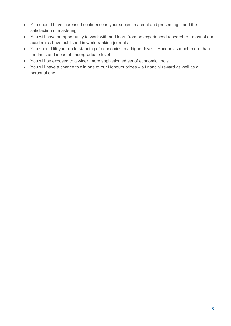- You should have increased confidence in your subject material and presenting it and the satisfaction of mastering it
- You will have an opportunity to work with and learn from an experienced researcher most of our academics have published in world ranking journals
- You should lift your understanding of economics to a higher level Honours is much more than the facts and ideas of undergraduate level
- You will be exposed to a wider, more sophisticated set of economic 'tools'
- You will have a chance to win one of our Honours prizes a financial reward as well as a personal one!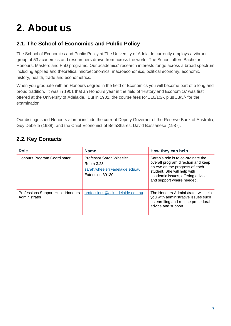## <span id="page-6-0"></span>**2. About us**

#### <span id="page-6-1"></span>**2.1. The School of Economics and Public Policy**

The School of Economics and Public Policy at The University of Adelaide currently employs a vibrant group of 53 academics and researchers drawn from across the world. The School offers Bachelor, Honours, Masters and PhD programs. Our academics' research interests range across a broad spectrum including applied and theoretical microeconomics, macroeconomics, political economy, economic history, health, trade and econometrics.

When you graduate with an Honours degree in the field of Economics you will become part of a long and proud tradition. It was in 1901 that an Honours year in the field of 'History and Economics' was first offered at the University of Adelaide. But in 1901, the course fees for £10/10/-, plus £3/3/- for the examination!

Our distinguished Honours alumni include the current Deputy Governor of the Reserve Bank of Australia, Guy Debelle (1988), and the Chief Economist of BetaShares, David Bassanese (1987).

#### <span id="page-6-2"></span>**2.2. Key Contacts**

| <b>Role</b>                                        | <b>Name</b>                                                                              | How they can help                                                                                                                                                                                          |
|----------------------------------------------------|------------------------------------------------------------------------------------------|------------------------------------------------------------------------------------------------------------------------------------------------------------------------------------------------------------|
| Honours Program Coordinator                        | Professor Sarah Wheeler<br>Room 3.23<br>sarah.wheeler@adelaide.edu.au<br>Extension 39130 | Sarah's role is to co-ordinate the<br>overall program direction and keep<br>an eye on the progress of each<br>student. She will help with<br>academic issues, offering advice<br>and support where needed. |
| Professions Support Hub - Honours<br>Administrator | professions@ask.adelaide.edu.au                                                          | The Honours Administrator will help<br>you with administrative issues such<br>as enrolling and routine procedural<br>advice and support.                                                                   |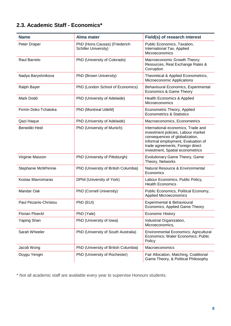#### <span id="page-7-0"></span>**2.3. Academic Staff - Economics\***

| <b>Name</b>            | <b>Alma mater</b>                                            | Field(s) of research interest                                                                                                                                                                                            |
|------------------------|--------------------------------------------------------------|--------------------------------------------------------------------------------------------------------------------------------------------------------------------------------------------------------------------------|
| Peter Draper           | PhD (Hons.Causas) (Friederich<br><b>Schiller University)</b> | Public Economics, Taxation,<br>International Tax, Applied<br>Microeconomics                                                                                                                                              |
| Raul Barreto           | PhD (University of Colorado)                                 | Macroeconomic Growth Theory;<br>Resources, Real Exchange Rates &<br>Corruption                                                                                                                                           |
| Nadya Baryshnikova     | PhD (Brown University)                                       | Theoretical & Applied Econometrics,<br>Microeconomic Applications                                                                                                                                                        |
| Ralph Bayer            | PhD (London School of Economics)                             | Behavioural Economics, Experimental<br>Economics & Game Theory                                                                                                                                                           |
| Mark Dodd              | PhD (University of Adelaide)                                 | Health Economics & Applied<br>Microeconomics                                                                                                                                                                             |
| Firmin Doko Tchatoka   | PhD (Montreal UdeM)                                          | Econometric Theory, Applied<br><b>Econometrics &amp; Statistics</b>                                                                                                                                                      |
| Qazi Haque             | PhD (University of Adelaide)                                 | Macroeconomics, Econometrics                                                                                                                                                                                             |
| <b>Benedikt Heid</b>   | PhD (University of Munich)                                   | International economics, Trade and<br>investment policies, Labour market<br>consequences of globalization,<br>Informal employment, Evaluation of<br>trade agreements, Foreign direct<br>investment, Spatial econometrics |
| Virginie Masson        | PhD (University of Pittsburgh)                               | Evolutionary Game Theory, Game<br>Theory, Networks                                                                                                                                                                       |
| Stephanie McWhinnie    | PhD (University of British Columbia)                         | Natural Resource & Environmental<br>Economics                                                                                                                                                                            |
| Kostas Mavromaras      | DPhil (University of York)                                   | Labour Economics, Public Policy,<br><b>Health Economics</b>                                                                                                                                                              |
| Mandar Oak             | PhD (Cornell University)                                     | Public Economics, Political Economy,<br><b>Applied Microeconomics</b>                                                                                                                                                    |
| Paul Pezanis-Christou  | PhD (EUI)                                                    | Experimental & Behavioural<br>Economics, Applied Game Theory                                                                                                                                                             |
| <b>Florian Ploeckl</b> | PhD (Yale)                                                   | <b>Economic History</b>                                                                                                                                                                                                  |
| Yaping Shan            | PhD (University of Iowa)                                     | Industrial Organization,<br>Microeconomics,                                                                                                                                                                              |
| Sarah Wheeler          | PhD (University of South Australia)                          | <b>Environmental Economics; Agricultural</b><br>Economics; Water Economics; Public<br>Policy                                                                                                                             |
| Jacob Wong             | PhD (University of British Columbia)                         | Macroeconomics                                                                                                                                                                                                           |
| Duygu Yengin           | PhD (University of Rochester)                                | Fair Allocation, Matching, Coalitional<br>Game Theory, & Political Philosophy                                                                                                                                            |

\* Not all academic staff are available every year to supervise Honours students.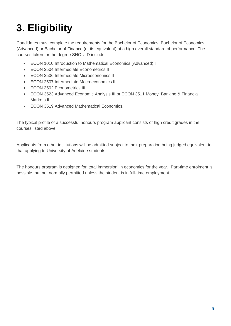# <span id="page-8-0"></span>**3. Eligibility**

Candidates must complete the requirements for the Bachelor of Economics, Bachelor of Economics (Advanced) or Bachelor of Finance (or its equivalent) at a high overall standard of performance. The courses taken for the degree SHOULD include:

- ECON 1010 Introduction to Mathematical Economics (Advanced) I
- ECON 2504 Intermediate Econometrics II
- ECON 2506 Intermediate Microeconomics II
- ECON 2507 Intermediate Macroeconomics II
- ECON 3502 Econometrics III
- ECON 3523 Advanced Economic Analysis III or ECON 3511 Money, Banking & Financial Markets III
- ECON 3519 Advanced Mathematical Economics.

The typical profile of a successful honours program applicant consists of high credit grades in the courses listed above.

Applicants from other institutions will be admitted subject to their preparation being judged equivalent to that applying to University of Adelaide students.

The honours program is designed for 'total immersion' in economics for the year. Part-time enrolment is possible, but not normally permitted unless the student is in full-time employment.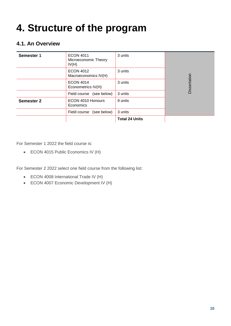### <span id="page-9-0"></span>**4. Structure of the program**

#### <span id="page-9-1"></span>**4.1. An Overview**

| Semester 1        | <b>ECON 4011</b><br>Microeconomic Theory<br>IV(H) | 3 units               |              |
|-------------------|---------------------------------------------------|-----------------------|--------------|
|                   | <b>ECON 4012</b><br>Macroeconomics IV(H)          | 3 units               |              |
|                   | <b>ECON 4014</b><br>Econometrics IV(H)            | 3 units               | Dissertation |
|                   | (see below)<br>Field course                       | 3 units               |              |
| <b>Semester 2</b> | ECON 4010 Honours<br>Economics                    | 9 units               |              |
|                   | (see below)<br>Field course                       | 3 units               |              |
|                   |                                                   | <b>Total 24 Units</b> |              |

For Semester 1 2022 the field course is:

• ECON 4015 Public Economics IV (H)

For Semester 2 2022 select one field course from the following list:

- ECON 4008 International Trade IV (H)
- ECON 4007 Economic Development IV (H)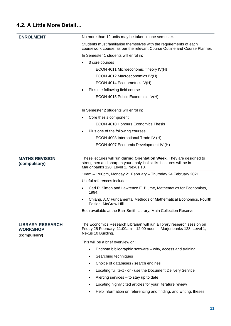#### <span id="page-10-0"></span>**4.2. A Little More Detail…**

| <b>ENROLMENT</b>                                           | No more than 12 units may be taken in one semester.                                                                                                                                 |
|------------------------------------------------------------|-------------------------------------------------------------------------------------------------------------------------------------------------------------------------------------|
|                                                            | Students must familiarise themselves with the requirements of each<br>coursework course, as per the relevant Course Outline and Course Planner.                                     |
|                                                            | In Semester 1 students will enrol in:                                                                                                                                               |
|                                                            | 3 core courses                                                                                                                                                                      |
|                                                            | ECON 4011 Microeconomic Theory IV(H)                                                                                                                                                |
|                                                            | ECON 4012 Macroeconomics IV(H)                                                                                                                                                      |
|                                                            | ECON 4014 Econometrics IV(H)                                                                                                                                                        |
|                                                            | Plus the following field course<br>$\bullet$                                                                                                                                        |
|                                                            | ECON 4015 Public Economics IV(H)                                                                                                                                                    |
|                                                            | In Semester 2 students will enrol in:                                                                                                                                               |
|                                                            | Core thesis component<br>$\bullet$                                                                                                                                                  |
|                                                            | <b>ECON 4010 Honours Economics Thesis</b>                                                                                                                                           |
|                                                            | Plus one of the following courses                                                                                                                                                   |
|                                                            | ECON 4008 International Trade IV (H)                                                                                                                                                |
|                                                            | ECON 4007 Economic Development IV (H)                                                                                                                                               |
|                                                            |                                                                                                                                                                                     |
| <b>MATHS REVISION</b><br>(compulsory)                      | These lectures will run during Orientation Week. They are designed to<br>strengthen and sharpen your analytical skills. Lectures will be in<br>Marjoribanks 128, Level 1, Nexus 10. |
|                                                            | 10am - 1:00pm, Monday 21 February - Thursday 24 February 2021                                                                                                                       |
|                                                            | Useful references include:                                                                                                                                                          |
|                                                            | Carl P. Simon and Lawrence E. Blume, Mathematics for Economists,<br>1994;                                                                                                           |
|                                                            | Chiang, A.C Fundamental Methods of Mathematical Economics, Fourth<br>Edition, McGraw Hill                                                                                           |
|                                                            | Both available at the Barr Smith Library, Main Collection Reserve.                                                                                                                  |
| <b>LIBRARY RESEARCH</b><br><b>WORKSHOP</b><br>(compulsory) | The Economics Research Librarian will run a library research session on<br>Friday 25 February, 11:00am - 12:00 noon in Marjoribanks 128, Level 1,<br>Nexus 10 Building.             |
|                                                            | This will be a brief overview on:                                                                                                                                                   |
|                                                            | Endnote bibliographic software – why, access and training                                                                                                                           |
|                                                            | Searching techniques<br>$\bullet$                                                                                                                                                   |
|                                                            | Choice of databases / search engines                                                                                                                                                |
|                                                            | Locating full text - or - use the Document Delivery Service                                                                                                                         |
|                                                            | Alerting services $-$ to stay up to date                                                                                                                                            |
|                                                            | Locating highly cited articles for your literature review                                                                                                                           |
|                                                            | Help information on referencing and finding, and writing, theses                                                                                                                    |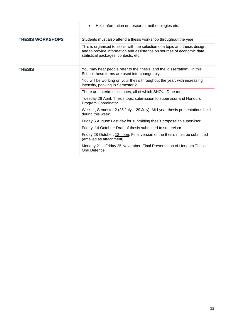|                         | Help information on research methodologies etc.                                                                                                                                                |
|-------------------------|------------------------------------------------------------------------------------------------------------------------------------------------------------------------------------------------|
| <b>THESIS WORKSHOPS</b> | Students must also attend a thesis workshop throughout the year.                                                                                                                               |
|                         | This is organised to assist with the selection of a topic and thesis design,<br>and to provide information and assistance on sources of economic data,<br>statistical packages, contacts, etc. |
| <b>THESIS</b>           | You may hear people refer to the 'thesis' and the 'dissertation'. In this<br>School these terms are used interchangeably.                                                                      |
|                         | You will be working on your thesis throughout the year, with increasing<br>intensity, peaking in Semester 2.                                                                                   |
|                         | There are interim milestones, all of which SHOULD be met:                                                                                                                                      |
|                         | Tuesday 26 April: Thesis topic submission to supervisor and Honours<br>Program Coordinator                                                                                                     |
|                         | Week 1, Semester 2 (25 July - 29 July): Mid-year thesis presentations held<br>during this week                                                                                                 |
|                         | Friday 5 August: Last day for submitting thesis proposal to supervisor                                                                                                                         |
|                         | Friday, 14 October: Draft of thesis submitted to supervisor                                                                                                                                    |
|                         | Friday 28 October, 12 noon: Final version of the thesis must be submitted<br>(emailed as attachment).                                                                                          |
|                         | Monday 21 - Friday 25 November: Final Presentation of Honours Thesis -<br><b>Oral Defence</b>                                                                                                  |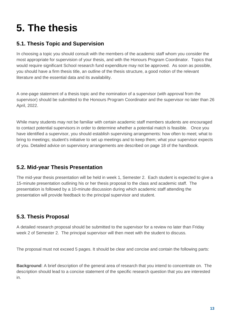# <span id="page-12-0"></span>**5. The thesis**

#### <span id="page-12-1"></span>**5.1. Thesis Topic and Supervision**

In choosing a topic you should consult with the members of the academic staff whom you consider the most appropriate for supervision of your thesis, and with the Honours Program Coordinator. Topics that would require significant School research fund expenditure may not be approved. As soon as possible, you should have a firm thesis title, an outline of the thesis structure, a good notion of the relevant literature and the essential data and its availability.

A one-page statement of a thesis topic and the nomination of a supervisor (with approval from the supervisor) should be submitted to the Honours Program Coordinator and the supervisor no later than 26 April, 2022.

While many students may not be familiar with certain academic staff members students are encouraged to contact potential supervisors in order to determine whether a potential match is feasible. Once you have identified a supervisor, you should establish supervising arrangements: how often to meet; what to bring to meetings; student's initiative to set up meetings and to keep them; what your supervisor expects of you. Detailed advice on supervisory arrangements are described on page 18 of the handbook.

#### <span id="page-12-2"></span>**5.2. Mid-year Thesis Presentation**

The mid-year thesis presentation will be held in week 1, Semester 2. Each student is expected to give a 15-minute presentation outlining his or her thesis proposal to the class and academic staff. The presentation is followed by a 10-minute discussion during which academic staff attending the presentation will provide feedback to the principal supervisor and student.

#### <span id="page-12-3"></span>**5.3. Thesis Proposal**

A detailed research proposal should be submitted to the supervisor for a review no later than Friday week 2 of Semester 2. The principal supervisor will then meet with the student to discuss.

The proposal must not exceed 5 pages. It should be clear and concise and contain the following parts:

**Background**: A brief description of the general area of research that you intend to concentrate on. The description should lead to a concise statement of the specific research question that you are interested in.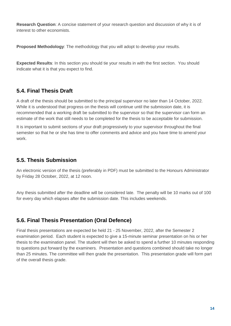**Research Question**: A concise statement of your research question and discussion of why it is of interest to other economists.

**Proposed Methodology**: The methodology that you will adopt to develop your results.

**Expected Results**: In this section you should tie your results in with the first section. You should indicate what it is that you expect to find.

#### <span id="page-13-0"></span>**5.4. Final Thesis Draft**

A draft of the thesis should be submitted to the principal supervisor no later than 14 October, 2022. While it is understood that progress on the thesis will continue until the submission date, it is recommended that a working draft be submitted to the supervisor so that the supervisor can form an estimate of the work that still needs to be completed for the thesis to be acceptable for submission.

It is important to submit sections of your draft progressively to your supervisor throughout the final semester so that he or she has time to offer comments and advice and you have time to amend your work.

#### <span id="page-13-1"></span>**5.5. Thesis Submission**

An electronic version of the thesis (preferably in PDF) must be submitted to the Honours Administrator by Friday 28 October, 2022, at 12 noon.

Any thesis submitted after the deadline will be considered late. The penalty will be 10 marks out of 100 for every day which elapses after the submission date. This includes weekends.

#### <span id="page-13-2"></span>**5.6. Final Thesis Presentation (Oral Defence)**

Final thesis presentations are expected be held 21 - 25 November, 2022, after the Semester 2 examination period. Each student is expected to give a 15-minute seminar presentation on his or her thesis to the examination panel. The student will then be asked to spend a further 10 minutes responding to questions put forward by the examiners. Presentation and questions combined should take no longer than 25 minutes. The committee will then grade the presentation. This presentation grade will form part of the overall thesis grade.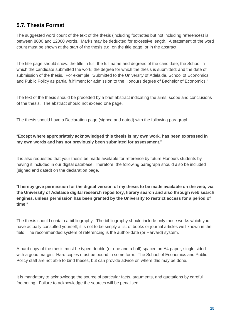#### <span id="page-14-0"></span>**5.7. Thesis Format**

The suggested word count of the text of the thesis (including footnotes but not including references) is between 8000 and 12000 words. Marks may be deducted for excessive length. A statement of the word count must be shown at the start of the thesis e.g. on the title page, or in the abstract.

The title page should show: the title in full; the full name and degrees of the candidate; the School in which the candidate submitted the work; the degree for which the thesis is submitted; and the date of submission of the thesis. For example: 'Submitted to the University of Adelaide, School of Economics and Public Policy as partial fulfilment for admission to the Honours degree of Bachelor of Economics.'

The text of the thesis should be preceded by a brief abstract indicating the aims, scope and conclusions of the thesis. The abstract should not exceed one page.

The thesis should have a Declaration page (signed and dated) with the following paragraph:

#### "**Except where appropriately acknowledged this thesis is my own work, has been expressed in my own words and has not previously been submitted for assessment.**"

It is also requested that your thesis be made available for reference by future Honours students by having it included in our digital database. Therefore, the following paragraph should also be included (signed and dated) on the declaration page.

"**I hereby give permission for the digital version of my thesis to be made available on the web, via the University of Adelaide digital research repository, library search and also through web search engines, unless permission has been granted by the University to restrict access for a period of time**."

The thesis should contain a bibliography. The bibliography should include only those works which you have actually consulted yourself; it is not to be simply a list of books or journal articles well known in the field. The recommended system of referencing is the author-date (or Harvard) system.

A hard copy of the thesis must be typed double (or one and a half) spaced on A4 paper, single sided with a good margin. Hard copies must be bound in some form. The School of Economics and Public Policy staff are not able to bind theses, but can provide advice on where this may be done.

It is mandatory to acknowledge the source of particular facts, arguments, and quotations by careful footnoting. Failure to acknowledge the sources will be penalised.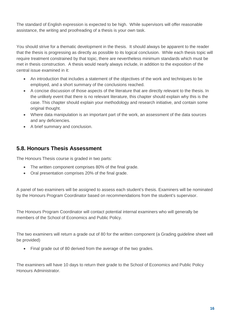The standard of English expression is expected to be high. While supervisors will offer reasonable assistance, the writing and proofreading of a thesis is your own task.

You should strive for a thematic development in the thesis. It should always be apparent to the reader that the thesis is progressing as directly as possible to its logical conclusion. While each thesis topic will require treatment constrained by that topic, there are nevertheless minimum standards which must be met in thesis construction. A thesis would nearly always include, in addition to the exposition of the central issue examined in it:

- An introduction that includes a statement of the objectives of the work and techniques to be employed, and a short summary of the conclusions reached.
- A concise discussion of those aspects of the literature that are directly relevant to the thesis. In the unlikely event that there is no relevant literature, this chapter should explain why this is the case. This chapter should explain your methodology and research initiative, and contain some original thought.
- Where data manipulation is an important part of the work, an assessment of the data sources and any deficiencies.
- A brief summary and conclusion.

#### <span id="page-15-0"></span>**5.8. Honours Thesis Assessment**

The Honours Thesis course is graded in two parts:

- The written component comprises 80% of the final grade.
- Oral presentation comprises 20% of the final grade.

A panel of two examiners will be assigned to assess each student's thesis. Examiners will be nominated by the Honours Program Coordinator based on recommendations from the student's supervisor.

The Honours Program Coordinator will contact potential internal examiners who will generally be members of the School of Economics and Public Policy.

The two examiners will return a grade out of 80 for the written component (a Grading guideline sheet will be provided)

• Final grade out of 80 derived from the average of the two grades.

The examiners will have 10 days to return their grade to the School of Economics and Public Policy Honours Administrator.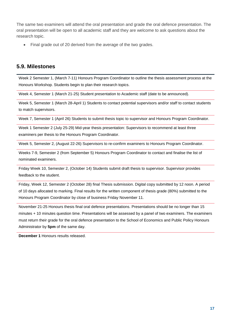The same two examiners will attend the oral presentation and grade the oral defence presentation. The oral presentation will be open to all academic staff and they are welcome to ask questions about the research topic.

Final grade out of 20 derived from the average of the two grades.

#### <span id="page-16-0"></span>**5.9. Milestones**

Week 2 Semester 1, (March 7-11) Honours Program Coordinator to outline the thesis assessment process at the Honours Workshop. Students begin to plan their research topics.

Week 4, Semester 1 (March 21-25) Student presentation to Academic staff (date to be announced).

Week 5, Semester 1 (March 28-April 1) Students to contact potential supervisors and/or staff to contact students to match supervisors.

Week 7, Semester 1 (April 26) Students to submit thesis topic to supervisor and Honours Program Coordinator.

Week 1 Semester 2 (July 25-29) Mid-year thesis presentation: Supervisors to recommend at least three examiners per thesis to the Honours Program Coordinator.

Week 5, Semester 2, (August 22-26) Supervisors to re-confirm examiners to Honours Program Coordinator.

Weeks 7-9, Semester 2 (from September 5) Honours Program Coordinator to contact and finalise the list of nominated examiners.

Friday Week 10, Semester 2, (October 14) Students submit draft thesis to supervisor. Supervisor provides feedback to the student.

Friday, Week 12, Semester 2 (October 28) final Thesis submission. Digital copy submitted by 12 noon. A period of 10 days allocated to marking. Final results for the written component of thesis grade (80%) submitted to the Honours Program Coordinator by close of business Friday November 11.

November 21-25 Honours thesis final oral defence presentations. Presentations should be no longer than 15 minutes + 10 minutes question time. Presentations will be assessed by a panel of two examiners. The examiners must return their grade for the oral defence presentation to the School of Economics and Public Policy Honours Administrator by **5pm** of the same day.

**December 1** Honours results released.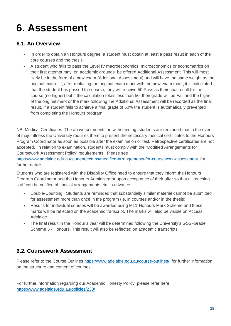### <span id="page-17-0"></span>**6. Assessment**

#### <span id="page-17-1"></span>**6.1. An Overview**

- In order to obtain an Honours degree, a student must obtain at least a pass result in each of the core courses and the thesis.
- A student who fails to pass the Level IV macroeconomics, microeconomics or econometrics on their first attempt may, on academic grounds, be offered Additional Assessment. This will most likely be in the form of a new exam (Additional Assessment) and will have the same weight as the original exam. If, after replacing the original exam mark with the new exam mark, it is calculated that the student has passed the course, they will receive 50 Pass as their final result for the course (no higher) but if the calculation totals less than 50, their grade will be Fail and the higher of the original mark or the mark following the Additional Assessment will be recorded as the final result. If a student fails to achieve a final grade of 50% the student is automatically prevented from completing the Honours program.

NB: Medical Certificates: The above comments notwithstanding, students are reminded that in the event of major illness the University requires them to present the necessary medical certificates to the Honours Program Coordinator as soon as possible after the examination or test. Retrospective certificates are not accepted. In relation to examination, students must comply with the 'Modified Arrangements for Coursework Assessment Policy' requirements. Please see

<https://www.adelaide.edu.au/student/exams/modified-arrangements-for-coursework-assessment> for further details.

Students who are registered with the Disability Office need to ensure that they inform the Honours Program Coordinator and the Honours Administrator upon acceptance of their offer so that all teaching staff can be notified of special arrangements etc. in advance.

- Double-Counting. Students are reminded that substantially similar material cannot be submitted for assessment more than once in the program (ie, in courses and/or in the thesis).
- Results for individual courses will be awarded using M11-Honours Mark Scheme and these marks will be reflected on the academic transcript. The marks will also be visible on Access Adelaide.
- The final result in the Honour's year will be determined following the University's GS5 -Grade Scheme 5 - Honours. This result will also be reflected on academic transcripts.

#### <span id="page-17-2"></span>**6.2. Coursework Assessment**

Please refer to the Course Outlines<https://www.adelaide.edu.au/course-outlines/> for further information on the structure and content of courses.

For further information regarding our Academic Honesty Policy, please refer here: <https://www.adelaide.edu.au/policies/230/>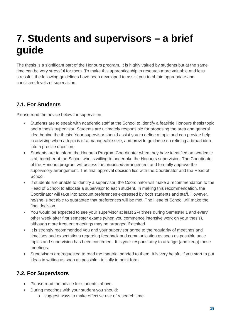### <span id="page-18-0"></span>**7. Students and supervisors – a brief guide**

The thesis is a significant part of the Honours program. It is highly valued by students but at the same time can be very stressful for them. To make this apprenticeship in research more valuable and less stressful, the following guidelines have been developed to assist you to obtain appropriate and consistent levels of supervision.

#### <span id="page-18-1"></span>**7.1. For Students**

Please read the advice below for supervision.

- Students are to speak with academic staff at the School to identify a feasible Honours thesis topic and a thesis supervisor. Students are ultimately responsible for proposing the area and general idea behind the thesis. Your supervisor should assist you to define a topic and can provide help in advising when a topic is of a manageable size, and provide guidance on refining a broad idea into a precise question.
- Students are to inform the Honours Program Coordinator when they have identified an academic staff member at the School who is willing to undertake the Honours supervision. The Coordinator of the Honours program will assess the proposed arrangement and formally approve the supervisory arrangement. The final approval decision lies with the Coordinator and the Head of School.
- If students are unable to identify a supervisor, the Coordinator will make a recommendation to the Head of School to allocate a supervisor to each student. In making this recommendation, the Coordinator will take into account preferences expressed by both students and staff. However, he/she is not able to guarantee that preferences will be met. The Head of School will make the final decision.
- You would be expected to see your supervisor at least 2-4 times during Semester 1 and every other week after first semester exams (when you commence intensive work on your thesis), although more frequent meetings may be arranged if desired.
- It is strongly recommended you and your supervisor agree to the regularity of meetings and timelines and expectations regarding feedback and communication as soon as possible once topics and supervision has been confirmed. It is your responsibility to arrange (and keep) these meetings.
- Supervisors are requested to read the material handed to them. It is very helpful if you start to put ideas in writing as soon as possible - initially in point form.

#### <span id="page-18-2"></span>**7.2. For Supervisors**

- Please read the advice for students, above.
- During meetings with your student you should:
	- o suggest ways to make effective use of research time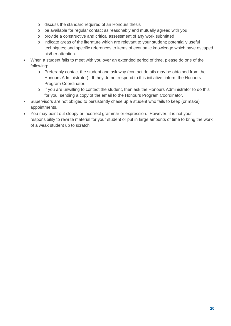- o discuss the standard required of an Honours thesis
- o be available for regular contact as reasonably and mutually agreed with you
- o provide a constructive and critical assessment of any work submitted
- o indicate areas of the literature which are relevant to your student; potentially useful techniques; and specific references to items of economic knowledge which have escaped his/her attention.
- When a student fails to meet with you over an extended period of time, please do one of the following:
	- o Preferably contact the student and ask why (contact details may be obtained from the Honours Administrator). If they do not respond to this initiative, inform the Honours Program Coordinator.
	- o If you are unwilling to contact the student, then ask the Honours Administrator to do this for you, sending a copy of the email to the Honours Program Coordinator.
- Supervisors are not obliged to persistently chase up a student who fails to keep (or make) appointments.
- You may point out sloppy or incorrect grammar or expression. However, it is not your responsibility to rewrite material for your student or put in large amounts of time to bring the work of a weak student up to scratch.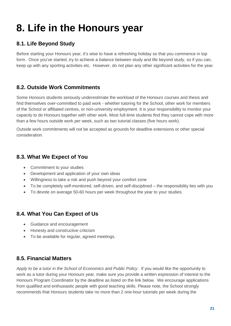## <span id="page-20-0"></span>**8. Life in the Honours year**

#### <span id="page-20-1"></span>**8.1. Life Beyond Study**

Before starting your Honours year, it's wise to have a refreshing holiday so that you commence in top form. Once you've started, try to achieve a balance between study and life beyond study, so if you can, keep up with any sporting activities etc. However, do not plan any other significant activities for the year.

#### <span id="page-20-2"></span>**8.2. Outside Work Commitments**

Some Honours students seriously underestimate the workload of the Honours courses and thesis and find themselves over-committed to paid work - whether tutoring for the School, other work for members of the School or affiliated centres, or non-university employment. It is your responsibility to monitor your capacity to do Honours together with other work. Most full-time students find they cannot cope with more than a few hours outside work per week, such as two tutorial classes (five hours work).

Outside work commitments will not be accepted as grounds for deadline extensions or other special consideration.

#### <span id="page-20-3"></span>**8.3. What We Expect of You**

- Commitment to your studies
- Development and application of your own ideas
- Willingness to take a risk and push beyond your comfort zone
- To be completely self-monitored, self-driven, and self-disciplined the responsibility lies with you
- To devote on average 50-60 hours per week throughout the year to your studies.

#### <span id="page-20-4"></span>**8.4. What You Can Expect of Us**

- Guidance and encouragement
- Honesty and constructive criticism
- To be available for regular, agreed meetings.

#### <span id="page-20-5"></span>**8.5. Financial Matters**

*Apply to be a tutor in the School of Economics and Public Policy*. If you would like the opportunity to work as a tutor during your Honours year, make sure you provide a written expression of interest to the Honours Program Coordinator by the deadline as listed on the link below. We encourage applications from qualified and enthusiastic people with good teaching skills. Please note, the School strongly recommends that Honours students take no more than 2 one-hour tutorials per week during the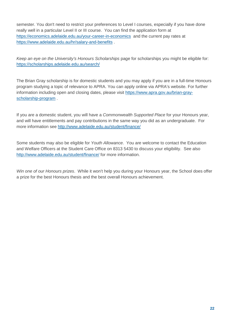semester. You don't need to restrict your preferences to Level I courses, especially if you have done really well in a particular Level II or III course. You can find the application form at <https://economics.adelaide.edu.au/your-career-in-economics> and the current pay rates at <https://www.adelaide.edu.au/hr/salary-and-benefits> .

*Keep an eye on the University's Honours Scholarships* page for scholarships you might be eligible for: <https://scholarships.adelaide.edu.au/search/>

The Brian Gray scholarship is for domestic students and you may apply if you are in a full-time Honours program studying a topic of relevance to APRA. You can apply online via APRA's website. For further information including open and closing dates, please visit [https://www.apra.gov.au/brian-gray](https://www.apra.gov.au/brian-gray-scholarship-program)[scholarship-program](https://www.apra.gov.au/brian-gray-scholarship-program) .

If you are a domestic student, you will have a *Commonwealth Supported Place* for your Honours year, and will have entitlements and pay contributions in the same way you did as an undergraduate. For more information see<http://www.adelaide.edu.au/student/finance/>

Some students may also be eligible for *Youth Allowance*. You are welcome to contact the Education and Welfare Officers at the Student Care Office on 8313 5430 to discuss your eligibility. See also <http://www.adelaide.edu.au/student/finance/> for more information.

*Win one of our Honours prizes*. While it won't help you during your Honours year, the School does offer a prize for the best Honours thesis and the best overall Honours achievement.